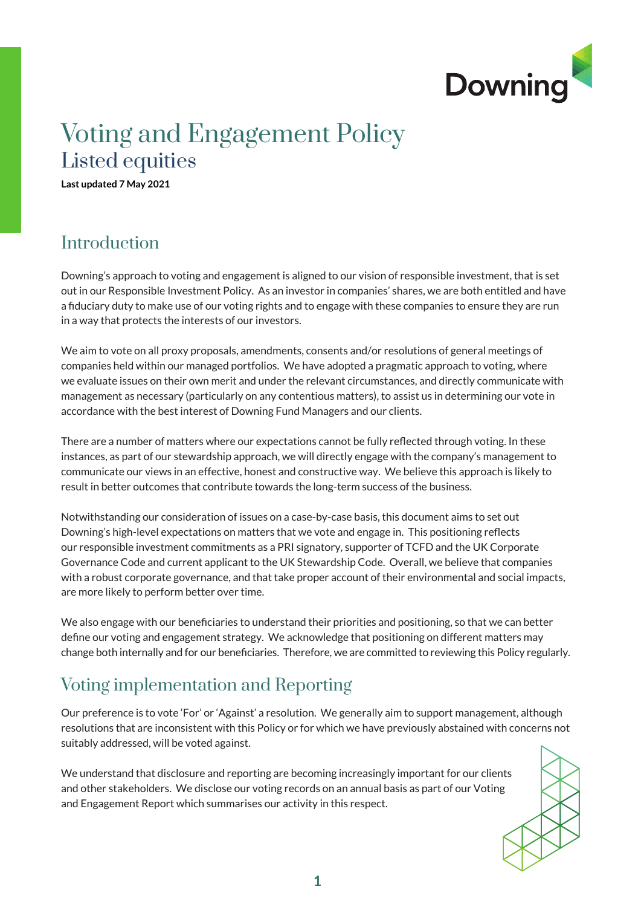

## Voting and Engagement Policy Listed equities

**Last updated 7 May 2021**

### **Introduction**

Downing's approach to voting and engagement is aligned to our vision of responsible investment, that is set out in our Responsible Investment Policy. As an investor in companies' shares, we are both entitled and have a fiduciary duty to make use of our voting rights and to engage with these companies to ensure they are run in a way that protects the interests of our investors.

We aim to vote on all proxy proposals, amendments, consents and/or resolutions of general meetings of companies held within our managed portfolios. We have adopted a pragmatic approach to voting, where we evaluate issues on their own merit and under the relevant circumstances, and directly communicate with management as necessary (particularly on any contentious matters), to assist us in determining our vote in accordance with the best interest of Downing Fund Managers and our clients.

There are a number of matters where our expectations cannot be fully reflected through voting. In these instances, as part of our stewardship approach, we will directly engage with the company's management to communicate our views in an effective, honest and constructive way. We believe this approach is likely to result in better outcomes that contribute towards the long-term success of the business.

Notwithstanding our consideration of issues on a case-by-case basis, this document aims to set out Downing's high-level expectations on matters that we vote and engage in. This positioning reflects our responsible investment commitments as a PRI signatory, supporter of TCFD and the UK Corporate Governance Code and current applicant to the UK Stewardship Code. Overall, we believe that companies with a robust corporate governance, and that take proper account of their environmental and social impacts, are more likely to perform better over time.

We also engage with our beneficiaries to understand their priorities and positioning, so that we can better define our voting and engagement strategy. We acknowledge that positioning on different matters may change both internally and for our beneficiaries. Therefore, we are committed to reviewing this Policy regularly.

### Voting implementation and Reporting

Our preference is to vote 'For' or 'Against' a resolution. We generally aim to support management, although resolutions that are inconsistent with this Policy or for which we have previously abstained with concerns not suitably addressed, will be voted against.

We understand that disclosure and reporting are becoming increasingly important for our clients and other stakeholders. We disclose our voting records on an annual basis as part of our Voting and Engagement Report which summarises our activity in this respect.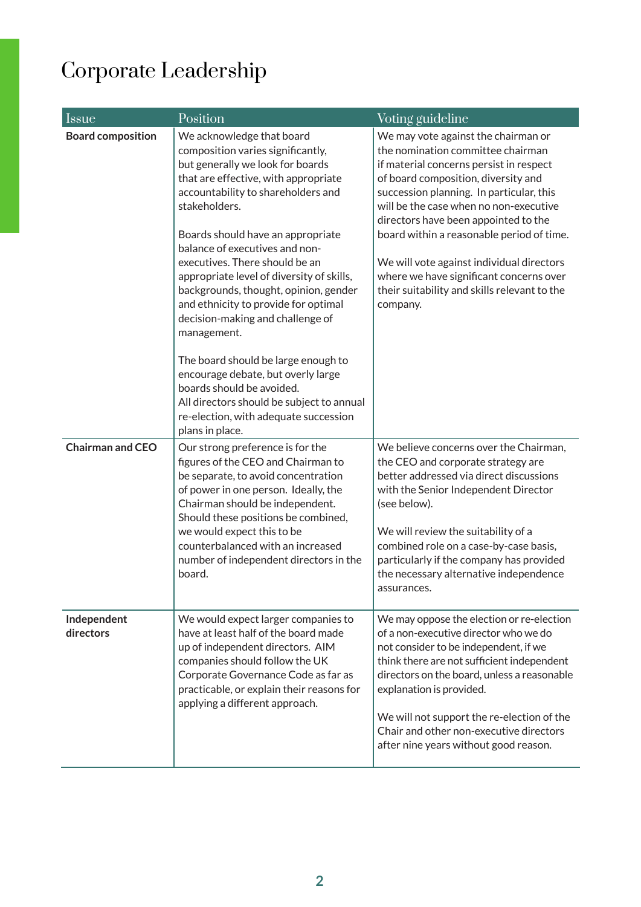# Corporate Leadership

| Issue                    | Position                                                                                                                                                                                                                                                                                                                                                                                                                                                                                                                                                                                                                                                                                                       | Voting guideline                                                                                                                                                                                                                                                                                                                                                                                                                                                                          |
|--------------------------|----------------------------------------------------------------------------------------------------------------------------------------------------------------------------------------------------------------------------------------------------------------------------------------------------------------------------------------------------------------------------------------------------------------------------------------------------------------------------------------------------------------------------------------------------------------------------------------------------------------------------------------------------------------------------------------------------------------|-------------------------------------------------------------------------------------------------------------------------------------------------------------------------------------------------------------------------------------------------------------------------------------------------------------------------------------------------------------------------------------------------------------------------------------------------------------------------------------------|
| <b>Board composition</b> | We acknowledge that board<br>composition varies significantly,<br>but generally we look for boards<br>that are effective, with appropriate<br>accountability to shareholders and<br>stakeholders.<br>Boards should have an appropriate<br>balance of executives and non-<br>executives. There should be an<br>appropriate level of diversity of skills,<br>backgrounds, thought, opinion, gender<br>and ethnicity to provide for optimal<br>decision-making and challenge of<br>management.<br>The board should be large enough to<br>encourage debate, but overly large<br>boards should be avoided.<br>All directors should be subject to annual<br>re-election, with adequate succession<br>plans in place. | We may vote against the chairman or<br>the nomination committee chairman<br>if material concerns persist in respect<br>of board composition, diversity and<br>succession planning. In particular, this<br>will be the case when no non-executive<br>directors have been appointed to the<br>board within a reasonable period of time.<br>We will vote against individual directors<br>where we have significant concerns over<br>their suitability and skills relevant to the<br>company. |
| <b>Chairman and CEO</b>  | Our strong preference is for the<br>figures of the CEO and Chairman to<br>be separate, to avoid concentration<br>of power in one person. Ideally, the<br>Chairman should be independent.<br>Should these positions be combined,<br>we would expect this to be<br>counterbalanced with an increased<br>number of independent directors in the<br>board.                                                                                                                                                                                                                                                                                                                                                         | We believe concerns over the Chairman,<br>the CEO and corporate strategy are<br>better addressed via direct discussions<br>with the Senior Independent Director<br>(see below).<br>We will review the suitability of a<br>combined role on a case-by-case basis,<br>particularly if the company has provided<br>the necessary alternative independence<br>assurances.                                                                                                                     |
| Independent<br>directors | We would expect larger companies to<br>have at least half of the board made<br>up of independent directors. AIM<br>companies should follow the UK<br>Corporate Governance Code as far as<br>practicable, or explain their reasons for<br>applying a different approach.                                                                                                                                                                                                                                                                                                                                                                                                                                        | We may oppose the election or re-election<br>of a non-executive director who we do<br>not consider to be independent, if we<br>think there are not sufficient independent<br>directors on the board, unless a reasonable<br>explanation is provided.<br>We will not support the re-election of the<br>Chair and other non-executive directors<br>after nine years without good reason.                                                                                                    |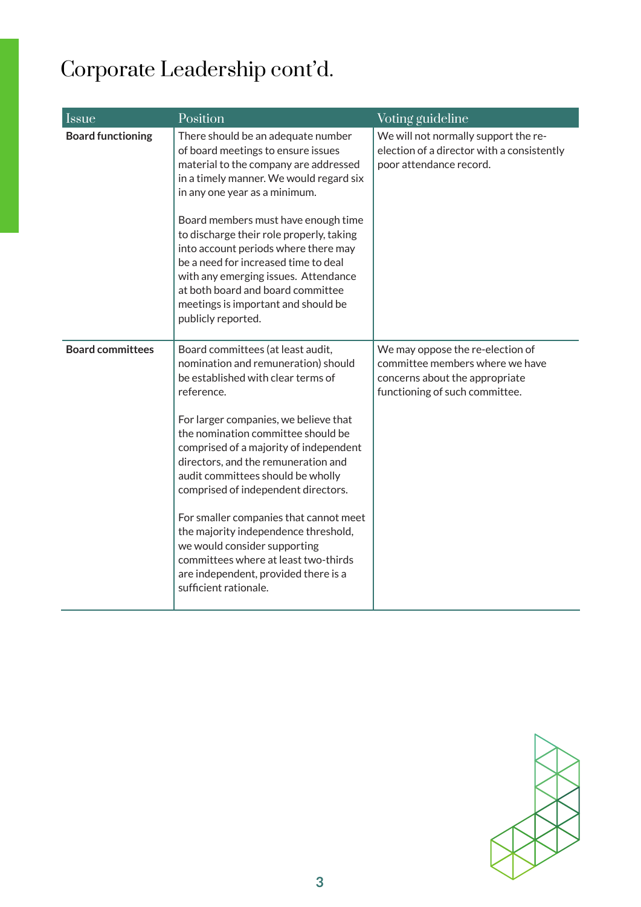# Corporate Leadership cont'd.

| <b>Issue</b>             | Position                                                                                                                                                                                                                                                                                                                                                                                                                                                                                   | Voting guideline                                                                                                                        |
|--------------------------|--------------------------------------------------------------------------------------------------------------------------------------------------------------------------------------------------------------------------------------------------------------------------------------------------------------------------------------------------------------------------------------------------------------------------------------------------------------------------------------------|-----------------------------------------------------------------------------------------------------------------------------------------|
| <b>Board functioning</b> | There should be an adequate number<br>of board meetings to ensure issues<br>material to the company are addressed<br>in a timely manner. We would regard six<br>in any one year as a minimum.<br>Board members must have enough time                                                                                                                                                                                                                                                       | We will not normally support the re-<br>election of a director with a consistently<br>poor attendance record.                           |
|                          | to discharge their role properly, taking<br>into account periods where there may<br>be a need for increased time to deal<br>with any emerging issues. Attendance<br>at both board and board committee<br>meetings is important and should be<br>publicly reported.                                                                                                                                                                                                                         |                                                                                                                                         |
| <b>Board committees</b>  | Board committees (at least audit,<br>nomination and remuneration) should<br>be established with clear terms of<br>reference.<br>For larger companies, we believe that<br>the nomination committee should be<br>comprised of a majority of independent<br>directors, and the remuneration and<br>audit committees should be wholly<br>comprised of independent directors.<br>For smaller companies that cannot meet<br>the majority independence threshold,<br>we would consider supporting | We may oppose the re-election of<br>committee members where we have<br>concerns about the appropriate<br>functioning of such committee. |
|                          | committees where at least two-thirds<br>are independent, provided there is a<br>sufficient rationale.                                                                                                                                                                                                                                                                                                                                                                                      |                                                                                                                                         |

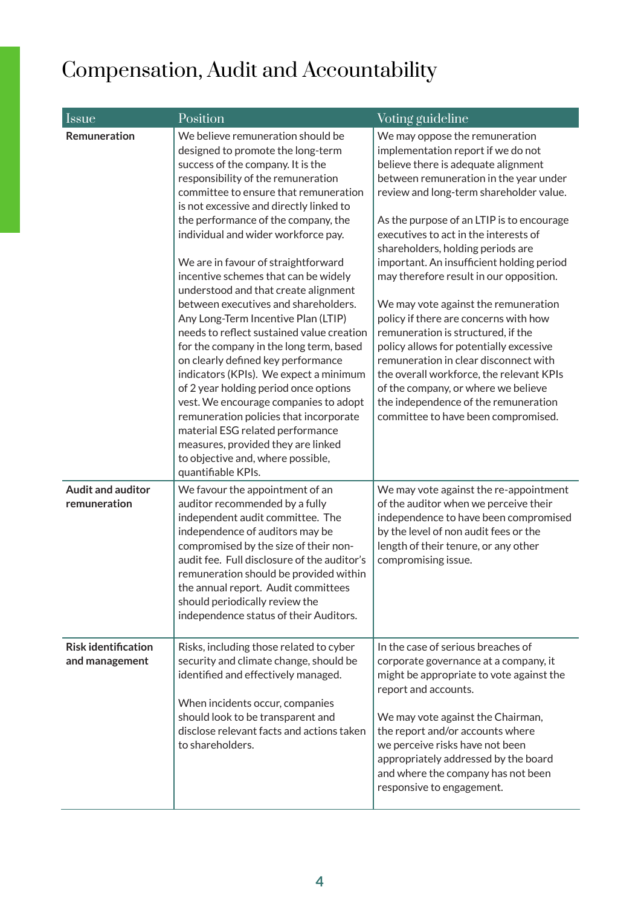## Compensation, Audit and Accountability

| <i>Issue</i>                                 | Position                                                                                                                                                                                                                                                                                                                                                                                                                                                                                                                                                                                                                                                                                                                                                                                                                                                                                                                                                           | Voting guideline                                                                                                                                                                                                                                                                                                                                                                                                                                                                                                                                                                                                                                                                                                                                                                                 |
|----------------------------------------------|--------------------------------------------------------------------------------------------------------------------------------------------------------------------------------------------------------------------------------------------------------------------------------------------------------------------------------------------------------------------------------------------------------------------------------------------------------------------------------------------------------------------------------------------------------------------------------------------------------------------------------------------------------------------------------------------------------------------------------------------------------------------------------------------------------------------------------------------------------------------------------------------------------------------------------------------------------------------|--------------------------------------------------------------------------------------------------------------------------------------------------------------------------------------------------------------------------------------------------------------------------------------------------------------------------------------------------------------------------------------------------------------------------------------------------------------------------------------------------------------------------------------------------------------------------------------------------------------------------------------------------------------------------------------------------------------------------------------------------------------------------------------------------|
| Remuneration                                 | We believe remuneration should be<br>designed to promote the long-term<br>success of the company. It is the<br>responsibility of the remuneration<br>committee to ensure that remuneration<br>is not excessive and directly linked to<br>the performance of the company, the<br>individual and wider workforce pay.<br>We are in favour of straightforward<br>incentive schemes that can be widely<br>understood and that create alignment<br>between executives and shareholders.<br>Any Long-Term Incentive Plan (LTIP)<br>needs to reflect sustained value creation<br>for the company in the long term, based<br>on clearly defined key performance<br>indicators (KPIs). We expect a minimum<br>of 2 year holding period once options<br>vest. We encourage companies to adopt<br>remuneration policies that incorporate<br>material ESG related performance<br>measures, provided they are linked<br>to objective and, where possible,<br>quantifiable KPIs. | We may oppose the remuneration<br>implementation report if we do not<br>believe there is adequate alignment<br>between remuneration in the year under<br>review and long-term shareholder value.<br>As the purpose of an LTIP is to encourage<br>executives to act in the interests of<br>shareholders, holding periods are<br>important. An insufficient holding period<br>may therefore result in our opposition.<br>We may vote against the remuneration<br>policy if there are concerns with how<br>remuneration is structured, if the<br>policy allows for potentially excessive<br>remuneration in clear disconnect with<br>the overall workforce, the relevant KPIs<br>of the company, or where we believe<br>the independence of the remuneration<br>committee to have been compromised. |
| <b>Audit and auditor</b><br>remuneration     | We favour the appointment of an<br>auditor recommended by a fully<br>independent audit committee. The<br>independence of auditors may be<br>compromised by the size of their non-<br>audit fee. Full disclosure of the auditor's<br>remuneration should be provided within<br>the annual report. Audit committees<br>should periodically review the<br>independence status of their Auditors.                                                                                                                                                                                                                                                                                                                                                                                                                                                                                                                                                                      | We may vote against the re-appointment<br>of the auditor when we perceive their<br>independence to have been compromised<br>by the level of non audit fees or the<br>length of their tenure, or any other<br>compromising issue.                                                                                                                                                                                                                                                                                                                                                                                                                                                                                                                                                                 |
| <b>Risk identification</b><br>and management | Risks, including those related to cyber<br>security and climate change, should be<br>identified and effectively managed.<br>When incidents occur, companies<br>should look to be transparent and<br>disclose relevant facts and actions taken<br>to shareholders.                                                                                                                                                                                                                                                                                                                                                                                                                                                                                                                                                                                                                                                                                                  | In the case of serious breaches of<br>corporate governance at a company, it<br>might be appropriate to vote against the<br>report and accounts.<br>We may vote against the Chairman,<br>the report and/or accounts where<br>we perceive risks have not been<br>appropriately addressed by the board<br>and where the company has not been<br>responsive to engagement.                                                                                                                                                                                                                                                                                                                                                                                                                           |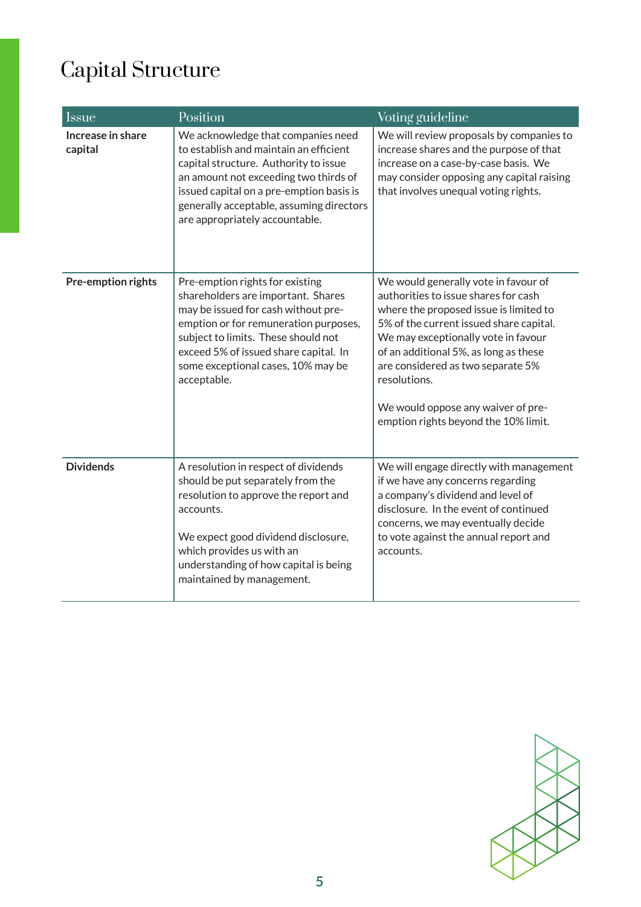# Capital Structure

| <b>Issue</b>                 | Position                                                                                                                                                                                                                                                                                   | Voting guideline                                                                                                                                                                                                                                                                                                                                                                     |
|------------------------------|--------------------------------------------------------------------------------------------------------------------------------------------------------------------------------------------------------------------------------------------------------------------------------------------|--------------------------------------------------------------------------------------------------------------------------------------------------------------------------------------------------------------------------------------------------------------------------------------------------------------------------------------------------------------------------------------|
| Increase in share<br>capital | We acknowledge that companies need<br>to establish and maintain an efficient<br>capital structure. Authority to issue<br>an amount not exceeding two thirds of<br>issued capital on a pre-emption basis is<br>generally acceptable, assuming directors<br>are appropriately accountable.   | We will review proposals by companies to<br>increase shares and the purpose of that<br>increase on a case-by-case basis. We<br>may consider opposing any capital raising<br>that involves unequal voting rights.                                                                                                                                                                     |
| Pre-emption rights           | Pre-emption rights for existing<br>shareholders are important. Shares<br>may be issued for cash without pre-<br>emption or for remuneration purposes,<br>subject to limits. These should not<br>exceed 5% of issued share capital. In<br>some exceptional cases, 10% may be<br>acceptable. | We would generally vote in favour of<br>authorities to issue shares for cash<br>where the proposed issue is limited to<br>5% of the current issued share capital.<br>We may exceptionally vote in favour<br>of an additional 5%, as long as these<br>are considered as two separate 5%<br>resolutions.<br>We would oppose any waiver of pre-<br>emption rights beyond the 10% limit. |
| <b>Dividends</b>             | A resolution in respect of dividends<br>should be put separately from the<br>resolution to approve the report and<br>accounts.<br>We expect good dividend disclosure,<br>which provides us with an<br>understanding of how capital is being<br>maintained by management.                   | We will engage directly with management<br>if we have any concerns regarding<br>a company's dividend and level of<br>disclosure. In the event of continued<br>concerns, we may eventually decide<br>to vote against the annual report and<br>accounts.                                                                                                                               |